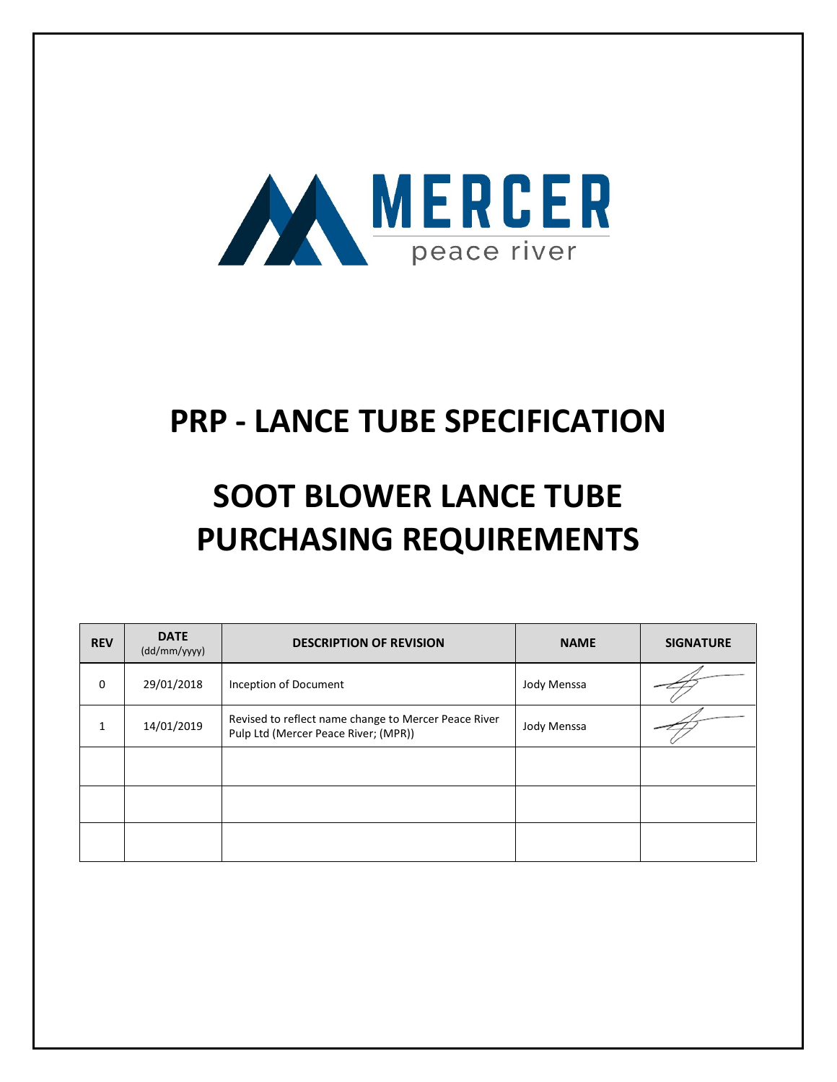

# PRP - LANCE TUBE SPECIFICATION

# SOOT BLOWER LANCE TUBE PURCHASING REQUIREMENTS

| <b>REV</b>  | <b>DATE</b><br>(dd/mm/yyyy) | <b>DESCRIPTION OF REVISION</b>                                                               | <b>NAME</b> | <b>SIGNATURE</b> |
|-------------|-----------------------------|----------------------------------------------------------------------------------------------|-------------|------------------|
| $\mathbf 0$ | 29/01/2018                  | Inception of Document                                                                        | Jody Menssa |                  |
| 1           | 14/01/2019                  | Revised to reflect name change to Mercer Peace River<br>Pulp Ltd (Mercer Peace River; (MPR)) | Jody Menssa |                  |
|             |                             |                                                                                              |             |                  |
|             |                             |                                                                                              |             |                  |
|             |                             |                                                                                              |             |                  |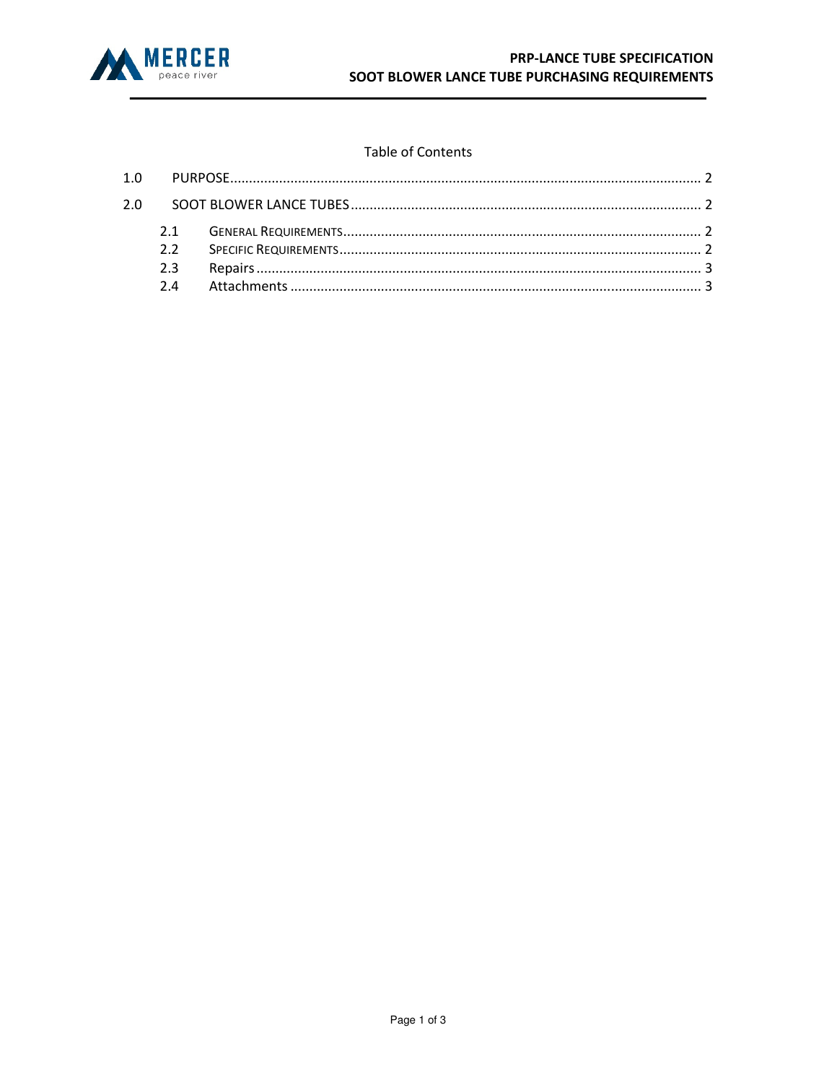

#### **Table of Contents**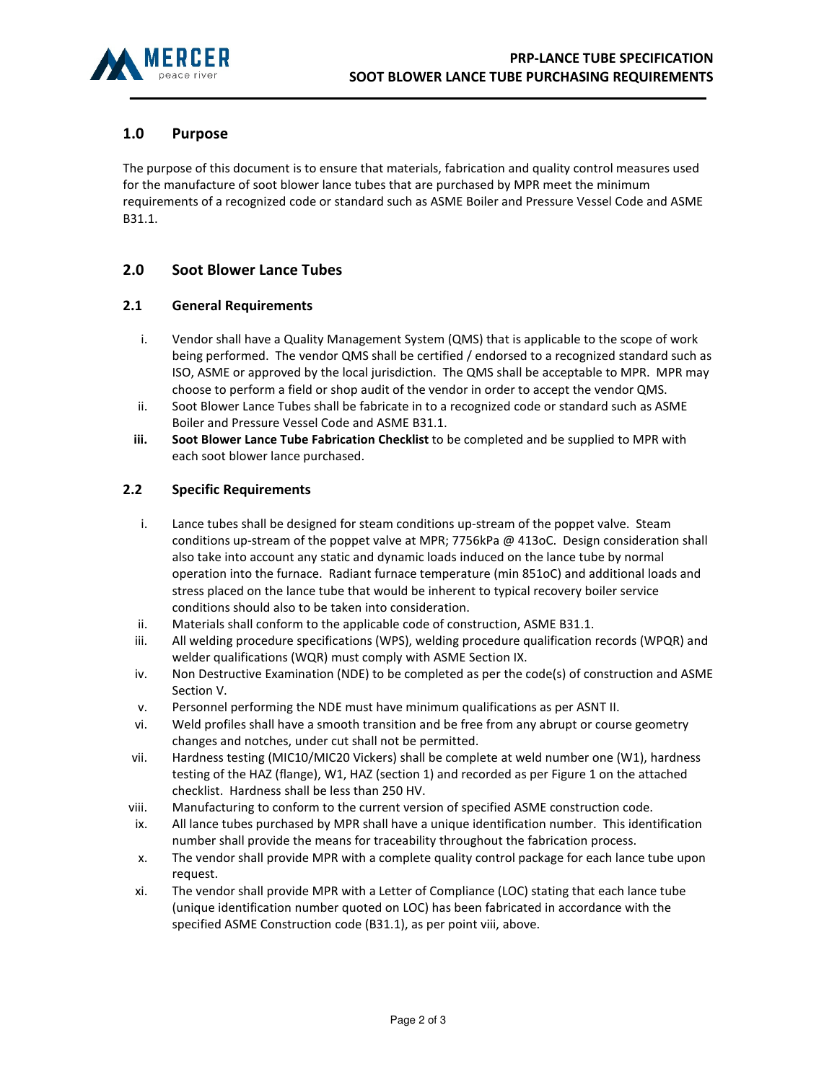

## 1.0 Purpose

The purpose of this document is to ensure that materials, fabrication and quality control measures used for the manufacture of soot blower lance tubes that are purchased by MPR meet the minimum requirements of a recognized code or standard such as ASME Boiler and Pressure Vessel Code and ASME B31.1.

### 2.0 Soot Blower Lance Tubes

#### 2.1 General Requirements

- i. Vendor shall have a Quality Management System (QMS) that is applicable to the scope of work being performed. The vendor QMS shall be certified / endorsed to a recognized standard such as ISO, ASME or approved by the local jurisdiction. The QMS shall be acceptable to MPR. MPR may choose to perform a field or shop audit of the vendor in order to accept the vendor QMS.
- ii. Soot Blower Lance Tubes shall be fabricate in to a recognized code or standard such as ASME Boiler and Pressure Vessel Code and ASME B31.1.
- iii. Soot Blower Lance Tube Fabrication Checklist to be completed and be supplied to MPR with each soot blower lance purchased.

#### 2.2 Specific Requirements

- i. Lance tubes shall be designed for steam conditions up-stream of the poppet valve. Steam conditions up-stream of the poppet valve at MPR; 7756kPa @ 413oC. Design consideration shall also take into account any static and dynamic loads induced on the lance tube by normal operation into the furnace. Radiant furnace temperature (min 851oC) and additional loads and stress placed on the lance tube that would be inherent to typical recovery boiler service conditions should also to be taken into consideration.
- ii. Materials shall conform to the applicable code of construction, ASME B31.1.
- iii. All welding procedure specifications (WPS), welding procedure qualification records (WPQR) and welder qualifications (WQR) must comply with ASME Section IX.
- iv. Non Destructive Examination (NDE) to be completed as per the code(s) of construction and ASME Section V.
- v. Personnel performing the NDE must have minimum qualifications as per ASNT II.
- vi. Weld profiles shall have a smooth transition and be free from any abrupt or course geometry changes and notches, under cut shall not be permitted.
- vii. Hardness testing (MIC10/MIC20 Vickers) shall be complete at weld number one (W1), hardness testing of the HAZ (flange), W1, HAZ (section 1) and recorded as per Figure 1 on the attached checklist. Hardness shall be less than 250 HV.
- viii. Manufacturing to conform to the current version of specified ASME construction code.
- ix. All lance tubes purchased by MPR shall have a unique identification number. This identification number shall provide the means for traceability throughout the fabrication process.
- x. The vendor shall provide MPR with a complete quality control package for each lance tube upon request.
- xi. The vendor shall provide MPR with a Letter of Compliance (LOC) stating that each lance tube (unique identification number quoted on LOC) has been fabricated in accordance with the specified ASME Construction code (B31.1), as per point viii, above.